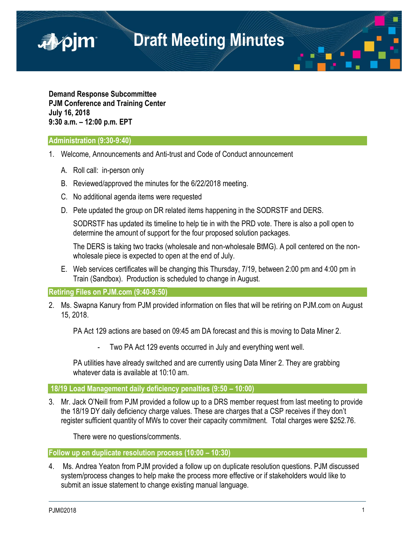

**Demand Response Subcommittee PJM Conference and Training Center July 16, 2018 9:30 a.m. – 12:00 p.m. EPT**

#### **Administration (9:30-9:40)**

■pjm

- 1. Welcome, Announcements and Anti-trust and Code of Conduct announcement
	- A. Roll call: in-person only
	- B. Reviewed/approved the minutes for the 6/22/2018 meeting.
	- C. No additional agenda items were requested
	- D. Pete updated the group on DR related items happening in the SODRSTF and DERS.

SODRSTF has updated its timeline to help tie in with the PRD vote. There is also a poll open to determine the amount of support for the four proposed solution packages.

The DERS is taking two tracks (wholesale and non-wholesale BtMG). A poll centered on the nonwholesale piece is expected to open at the end of July.

E. Web services certificates will be changing this Thursday, 7/19, between 2:00 pm and 4:00 pm in Train (Sandbox). Production is scheduled to change in August.

**Retiring Files on PJM.com (9:40-9:50)**

2. Ms. Swapna Kanury from PJM provided information on files that will be retiring on PJM.com on August 15, 2018.

PA Act 129 actions are based on 09:45 am DA forecast and this is moving to Data Miner 2.

Two PA Act 129 events occurred in July and everything went well.

PA utilities have already switched and are currently using Data Miner 2. They are grabbing whatever data is available at 10:10 am.

### **18/19 Load Management daily deficiency penalties (9:50 – 10:00)**

3. Mr. Jack O'Neill from PJM provided a follow up to a DRS member request from last meeting to provide the 18/19 DY daily deficiency charge values. These are charges that a CSP receives if they don't register sufficient quantity of MWs to cover their capacity commitment. Total charges were \$252.76.

There were no questions/comments.

**Follow up on duplicate resolution process (10:00 – 10:30)**

4. Ms. Andrea Yeaton from PJM provided a follow up on duplicate resolution questions. PJM discussed system/process changes to help make the process more effective or if stakeholders would like to submit an issue statement to change existing manual language.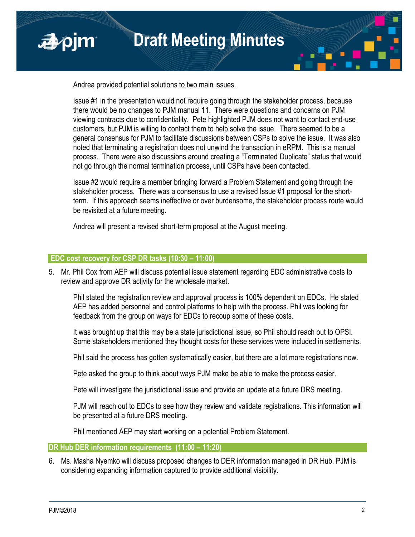

Andrea provided potential solutions to two main issues.

Issue #1 in the presentation would not require going through the stakeholder process, because there would be no changes to PJM manual 11. There were questions and concerns on PJM viewing contracts due to confidentiality. Pete highlighted PJM does not want to contact end-use customers, but PJM is willing to contact them to help solve the issue. There seemed to be a general consensus for PJM to facilitate discussions between CSPs to solve the issue. It was also noted that terminating a registration does not unwind the transaction in eRPM. This is a manual process. There were also discussions around creating a "Terminated Duplicate" status that would not go through the normal termination process, until CSPs have been contacted.

Issue #2 would require a member bringing forward a Problem Statement and going through the stakeholder process. There was a consensus to use a revised Issue #1 proposal for the shortterm. If this approach seems ineffective or over burdensome, the stakeholder process route would be revisited at a future meeting.

Andrea will present a revised short-term proposal at the August meeting.

## **EDC cost recovery for CSP DR tasks (10:30 – 11:00)**

5. Mr. Phil Cox from AEP will discuss potential issue statement regarding EDC administrative costs to review and approve DR activity for the wholesale market.

Phil stated the registration review and approval process is 100% dependent on EDCs. He stated AEP has added personnel and control platforms to help with the process. Phil was looking for feedback from the group on ways for EDCs to recoup some of these costs.

It was brought up that this may be a state jurisdictional issue, so Phil should reach out to OPSI. Some stakeholders mentioned they thought costs for these services were included in settlements.

Phil said the process has gotten systematically easier, but there are a lot more registrations now.

Pete asked the group to think about ways PJM make be able to make the process easier.

Pete will investigate the jurisdictional issue and provide an update at a future DRS meeting.

PJM will reach out to EDCs to see how they review and validate registrations. This information will be presented at a future DRS meeting.

Phil mentioned AEP may start working on a potential Problem Statement.

## **DR Hub DER information requirements (11:00 – 11:20)**

6. Ms. Masha Nyemko will discuss proposed changes to DER information managed in DR Hub. PJM is considering expanding information captured to provide additional visibility.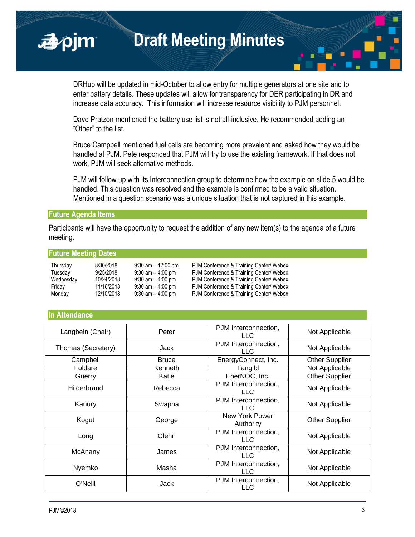**Draft Meeting Minutes**

DRHub will be updated in mid-October to allow entry for multiple generators at one site and to enter battery details. These updates will allow for transparency for DER participating in DR and increase data accuracy. This information will increase resource visibility to PJM personnel.

Dave Pratzon mentioned the battery use list is not all-inclusive. He recommended adding an "Other" to the list.

Bruce Campbell mentioned fuel cells are becoming more prevalent and asked how they would be handled at PJM. Pete responded that PJM will try to use the existing framework. If that does not work, PJM will seek alternative methods.

PJM will follow up with its Interconnection group to determine how the example on slide 5 would be handled. This question was resolved and the example is confirmed to be a valid situation. Mentioned in a question scenario was a unique situation that is not captured in this example.

#### **Future Agenda Items**

■pjm

Participants will have the opportunity to request the addition of any new item(s) to the agenda of a future meeting.

#### **Future Meeting Dates**

| Thursday  | 8/30/2018  | $9:30$ am $-12:00$ pm | PJM Conference & Training Center/ Webex |
|-----------|------------|-----------------------|-----------------------------------------|
| Tuesday   | 9/25/2018  | $9:30$ am $-4:00$ pm  | PJM Conference & Training Center/ Webex |
| Wednesday | 10/24/2018 | $9:30$ am $-4:00$ pm  | PJM Conference & Training Center/ Webex |
| Friday    | 11/16/2018 | $9:30$ am $-4:00$ pm  | PJM Conference & Training Center/ Webex |
| Monday    | 12/10/2018 | $9:30$ am $-4:00$ pm  | PJM Conference & Training Center/ Webex |

#### **In Attendance**

| Langbein (Chair)   | Peter        | PJM Interconnection,<br><b>LLC</b> | Not Applicable        |
|--------------------|--------------|------------------------------------|-----------------------|
| Thomas (Secretary) | Jack         | PJM Interconnection,<br>LLC        | Not Applicable        |
| Campbell           | <b>Bruce</b> | EnergyConnect, Inc.                | <b>Other Supplier</b> |
| Foldare            | Kenneth      | Tangibl                            | Not Applicable        |
| Guerry             | Katie        | EnerNOC, Inc.                      | <b>Other Supplier</b> |
| Hilderbrand        | Rebecca      | PJM Interconnection,<br><b>LLC</b> | Not Applicable        |
| Kanury             | Swapna       | PJM Interconnection,<br><b>LLC</b> | Not Applicable        |
| Kogut              | George       | New York Power<br>Authority        | <b>Other Supplier</b> |
| Long               | Glenn        | PJM Interconnection,<br><b>LLC</b> | Not Applicable        |
| McAnany            | James        | PJM Interconnection,<br>LLC        | Not Applicable        |
| Nyemko             | Masha        | PJM Interconnection,<br>LLC        | Not Applicable        |
| O'Neill            | Jack         | PJM Interconnection,<br>LLC        | Not Applicable        |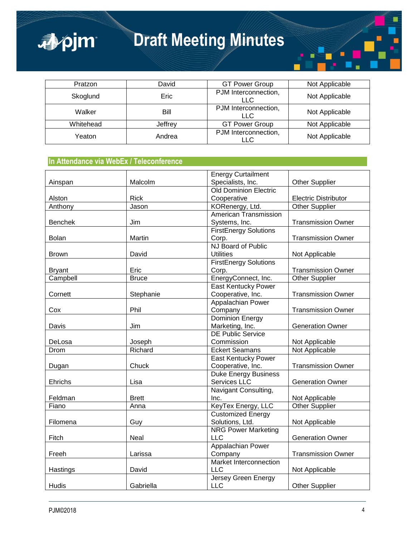

# **Draft Meeting Minutes**

| Pratzon   | David   | <b>GT Power Group</b>       | Not Applicable |
|-----------|---------|-----------------------------|----------------|
| Skoglund  | Eric    | PJM Interconnection,<br>LLC | Not Applicable |
| Walker    | Bill    | PJM Interconnection,<br>LLC | Not Applicable |
| Whitehead | Jeffrey | <b>GT Power Group</b>       | Not Applicable |
| Yeaton    | Andrea  | PJM Interconnection,<br>LLC | Not Applicable |

## **In Attendance via WebEx / Teleconference**

|                |              | <b>Energy Curtailment</b>    |                             |
|----------------|--------------|------------------------------|-----------------------------|
| Ainspan        | Malcolm      | Specialists, Inc.            | Other Supplier              |
|                |              | <b>Old Dominion Electric</b> |                             |
| Alston         | <b>Rick</b>  | Cooperative                  | <b>Electric Distributor</b> |
| Anthony        | Jason        | KORenergy, Ltd.              | <b>Other Supplier</b>       |
|                |              | American Transmission        |                             |
| <b>Benchek</b> | Jim          | Systems, Inc.                | <b>Transmission Owner</b>   |
|                |              | <b>FirstEnergy Solutions</b> |                             |
| <b>Bolan</b>   | Martin       | Corp.                        | <b>Transmission Owner</b>   |
|                |              | NJ Board of Public           |                             |
| <b>Brown</b>   | David        | <b>Utilities</b>             | Not Applicable              |
|                |              | <b>FirstEnergy Solutions</b> |                             |
| <b>Bryant</b>  | Eric         | Corp.                        | <b>Transmission Owner</b>   |
| Campbell       | <b>Bruce</b> | EnergyConnect, Inc.          | <b>Other Supplier</b>       |
|                |              | East Kentucky Power          |                             |
| Cornett        | Stephanie    | Cooperative, Inc.            | <b>Transmission Owner</b>   |
|                |              | Appalachian Power            |                             |
| Cox            | Phil         | Company                      | <b>Transmission Owner</b>   |
|                |              | <b>Dominion Energy</b>       |                             |
| Davis          | Jim          | Marketing, Inc.              | <b>Generation Owner</b>     |
|                |              | <b>DE Public Service</b>     |                             |
| DeLosa         | Joseph       | Commission                   | Not Applicable              |
| Drom           | Richard      | <b>Eckert Seamans</b>        | Not Applicable              |
|                |              | East Kentucky Power          |                             |
| Dugan          | Chuck        | Cooperative, Inc.            | <b>Transmission Owner</b>   |
|                |              | Duke Energy Business         |                             |
| Ehrichs        | Lisa         | Services LLC                 | <b>Generation Owner</b>     |
|                |              | Navigant Consulting,         |                             |
| Feldman        | <b>Brett</b> | Inc.                         | Not Applicable              |
| Fiano          | Anna         | KeyTex Energy, LLC           | <b>Other Supplier</b>       |
|                |              | <b>Customized Energy</b>     |                             |
| Filomena       | Guy          | Solutions, Ltd.              | Not Applicable              |
|                |              | <b>NRG Power Marketing</b>   |                             |
| Fitch          | <b>Neal</b>  | <b>LLC</b>                   | <b>Generation Owner</b>     |
|                |              | Appalachian Power            |                             |
| Freeh          | Larissa      | Company                      | <b>Transmission Owner</b>   |
|                |              | Market Interconnection       |                             |
| Hastings       | David        | <b>LLC</b>                   | Not Applicable              |
|                |              | <b>Jersey Green Energy</b>   |                             |
| Hudis          | Gabriella    | <b>LLC</b>                   | <b>Other Supplier</b>       |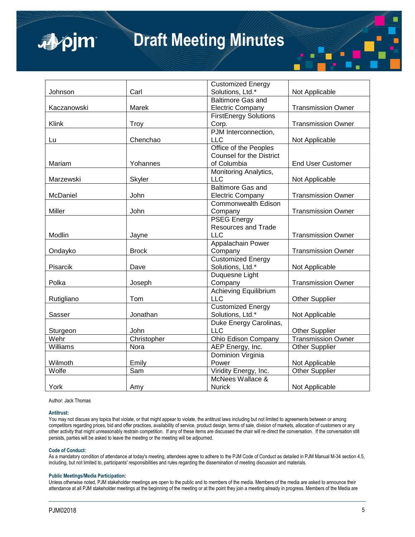## ■pjm

## **Draft Meeting Minutes**

|             |              | <b>Customized Energy</b>        |                           |
|-------------|--------------|---------------------------------|---------------------------|
| Johnson     | Carl         | Solutions, Ltd.*                | Not Applicable            |
|             |              | <b>Baltimore Gas and</b>        |                           |
| Kaczanowski | Marek        | <b>Electric Company</b>         | <b>Transmission Owner</b> |
|             |              | <b>FirstEnergy Solutions</b>    |                           |
| Klink       | <b>Troy</b>  | Corp.                           | <b>Transmission Owner</b> |
|             |              | PJM Interconnection,            |                           |
| Lu          | Chenchao     | <b>LLC</b>                      | Not Applicable            |
|             |              | Office of the Peoples           |                           |
|             |              | <b>Counsel for the District</b> |                           |
| Mariam      | Yohannes     | of Columbia                     | <b>End User Customer</b>  |
|             |              | Monitoring Analytics,           |                           |
| Marzewski   | Skyler       | <b>LLC</b>                      | Not Applicable            |
|             |              | <b>Baltimore Gas and</b>        |                           |
| McDaniel    | John         | <b>Electric Company</b>         | <b>Transmission Owner</b> |
|             |              | <b>Commonwealth Edison</b>      |                           |
| Miller      | John         | Company                         | <b>Transmission Owner</b> |
|             |              | <b>PSEG Energy</b>              |                           |
|             |              | <b>Resources and Trade</b>      |                           |
| Modlin      | Jayne        | <b>LLC</b>                      | <b>Transmission Owner</b> |
|             |              | Appalachain Power               |                           |
| Ondayko     | <b>Brock</b> | Company                         | <b>Transmission Owner</b> |
|             |              | <b>Customized Energy</b>        |                           |
| Pisarcik    | Dave         | Solutions, Ltd.*                | Not Applicable            |
|             |              | Duquesne Light                  |                           |
| Polka       | Joseph       | Company                         | <b>Transmission Owner</b> |
|             |              | <b>Achieving Equilibrium</b>    |                           |
| Rutigliano  | Tom          | <b>LLC</b>                      | <b>Other Supplier</b>     |
|             |              | <b>Customized Energy</b>        |                           |
| Sasser      | Jonathan     | Solutions, Ltd.*                | Not Applicable            |
|             |              | Duke Energy Carolinas,          |                           |
| Sturgeon    | John         | <b>LLC</b>                      | <b>Other Supplier</b>     |
| Wehr        | Christopher  | Ohio Edison Company             | <b>Transmission Owner</b> |
| Williams    | Nora         | AEP Energy, Inc.                | Other Supplier            |
|             |              | Dominion Virginia               |                           |
| Wilmoth     | Emily        | Power                           | Not Applicable            |
| Wolfe       | Sam          | Viridity Energy, Inc.           | <b>Other Supplier</b>     |
|             |              | McNees Wallace &                |                           |
| York        | Amy          | <b>Nurick</b>                   | Not Applicable            |

Author: Jack Thomas

#### **Antitrust:**

You may not discuss any topics that violate, or that might appear to violate, the antitrust laws including but not limited to agreements between or among competitors regarding prices, bid and offer practices, availability of service, product design, terms of sale, division of markets, allocation of customers or any other activity that might unreasonably restrain competition. If any of these items are discussed the chair will re-direct the conversation. If the conversation still persists, parties will be asked to leave the meeting or the meeting will be adjourned.

#### **Code of Conduct:**

As a mandatory condition of attendance at today's meeting, attendees agree to adhere to the PJM Code of Conduct as detailed in PJM Manual M-34 section 4.5, including, but not limited to, participants' responsibilities and rules regarding the dissemination of meeting discussion and materials.

#### **Public Meetings/Media Participation:**

Unless otherwise noted, PJM stakeholder meetings are open to the public and to members of the media. Members of the media are asked to announce their attendance at all PJM stakeholder meetings at the beginning of the meeting or at the point they join a meeting already in progress. Members of the Media are